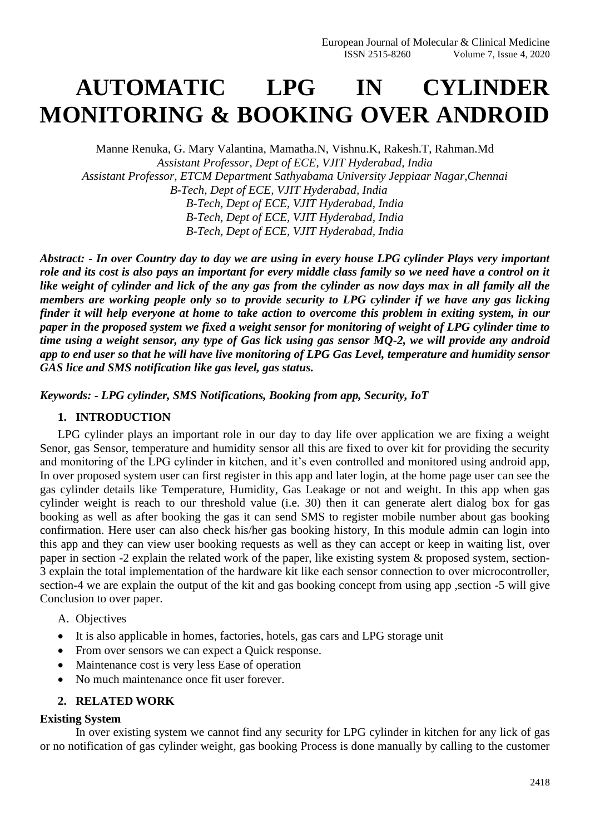# **AUTOMATIC LPG IN CYLINDER MONITORING & BOOKING OVER ANDROID**

Manne Renuka, G. Mary Valantina, Mamatha.N, Vishnu.K, Rakesh.T, Rahman.Md *Assistant Professor, Dept of ECE, VJIT Hyderabad, India Assistant Professor, ETCM Department Sathyabama University Jeppiaar Nagar,Chennai B-Tech, Dept of ECE, VJIT Hyderabad, India B-Tech, Dept of ECE, VJIT Hyderabad, India B-Tech, Dept of ECE, VJIT Hyderabad, India B-Tech, Dept of ECE, VJIT Hyderabad, India*

*Abstract: - In over Country day to day we are using in every house LPG cylinder Plays very important role and its cost is also pays an important for every middle class family so we need have a control on it like weight of cylinder and lick of the any gas from the cylinder as now days max in all family all the members are working people only so to provide security to LPG cylinder if we have any gas licking finder it will help everyone at home to take action to overcome this problem in exiting system, in our paper in the proposed system we fixed a weight sensor for monitoring of weight of LPG cylinder time to time using a weight sensor, any type of Gas lick using gas sensor MQ-2, we will provide any android app to end user so that he will have live monitoring of LPG Gas Level, temperature and humidity sensor GAS lice and SMS notification like gas level, gas status.*

*Keywords: - LPG cylinder, SMS Notifications, Booking from app, Security, IoT*

#### **1. INTRODUCTION**

LPG cylinder plays an important role in our day to day life over application we are fixing a weight Senor, gas Sensor, temperature and humidity sensor all this are fixed to over kit for providing the security and monitoring of the LPG cylinder in kitchen, and it's even controlled and monitored using android app, In over proposed system user can first register in this app and later login, at the home page user can see the gas cylinder details like Temperature, Humidity, Gas Leakage or not and weight. In this app when gas cylinder weight is reach to our threshold value (i.e. 30) then it can generate alert dialog box for gas booking as well as after booking the gas it can send SMS to register mobile number about gas booking confirmation. Here user can also check his/her gas booking history, In this module admin can login into this app and they can view user booking requests as well as they can accept or keep in waiting list, over paper in section -2 explain the related work of the paper, like existing system & proposed system, section-3 explain the total implementation of the hardware kit like each sensor connection to over microcontroller, section-4 we are explain the output of the kit and gas booking concept from using app ,section -5 will give Conclusion to over paper.

- A. Objectives
- It is also applicable in homes, factories, hotels, gas cars and LPG storage unit
- From over sensors we can expect a Quick response.
- Maintenance cost is very less Ease of operation
- No much maintenance once fit user forever.

#### **2. RELATED WORK**

#### **Existing System**

In over existing system we cannot find any security for LPG cylinder in kitchen for any lick of gas or no notification of gas cylinder weight, gas booking Process is done manually by calling to the customer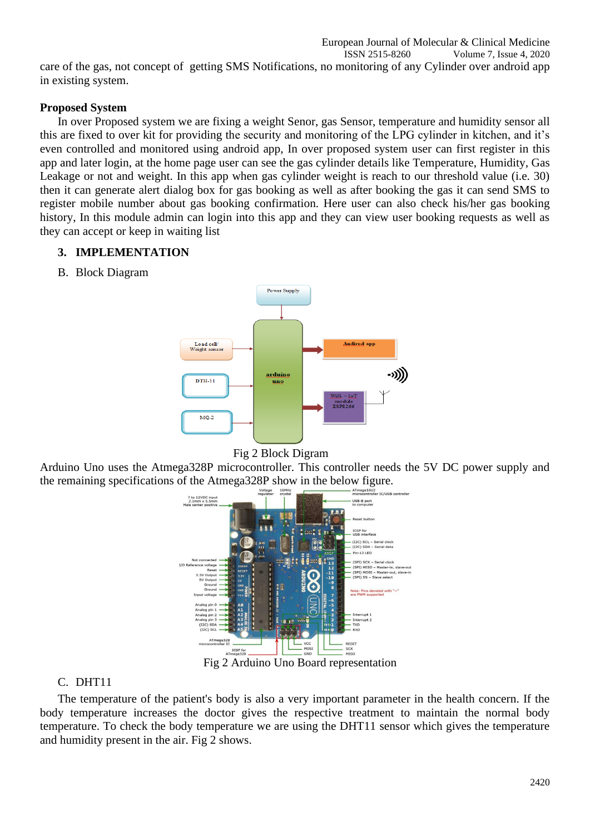ISSN 2515-8260 Volume 7, Issue 4, 2020 care of the gas, not concept of getting SMS Notifications, no monitoring of any Cylinder over android app in existing system.

European Journal of Molecular & Clinical Medicine

#### **Proposed System**

In over Proposed system we are fixing a weight Senor, gas Sensor, temperature and humidity sensor all this are fixed to over kit for providing the security and monitoring of the LPG cylinder in kitchen, and it's even controlled and monitored using android app, In over proposed system user can first register in this app and later login, at the home page user can see the gas cylinder details like Temperature, Humidity, Gas Leakage or not and weight. In this app when gas cylinder weight is reach to our threshold value (i.e. 30) then it can generate alert dialog box for gas booking as well as after booking the gas it can send SMS to register mobile number about gas booking confirmation. Here user can also check his/her gas booking history, In this module admin can login into this app and they can view user booking requests as well as they can accept or keep in waiting list

#### **3. IMPLEMENTATION**

B. Block Diagram





Arduino Uno uses the Atmega328P microcontroller. This controller needs the 5V DC power supply and the remaining specifications of the Atmega328P show in the below figure.



Fig 2 Arduino Uno Board representation

### C. DHT11

The temperature of the patient's body is also a very important parameter in the health concern. If the body temperature increases the doctor gives the respective treatment to maintain the normal body temperature. To check the body temperature we are using the DHT11 sensor which gives the temperature and humidity present in the air. Fig 2 shows.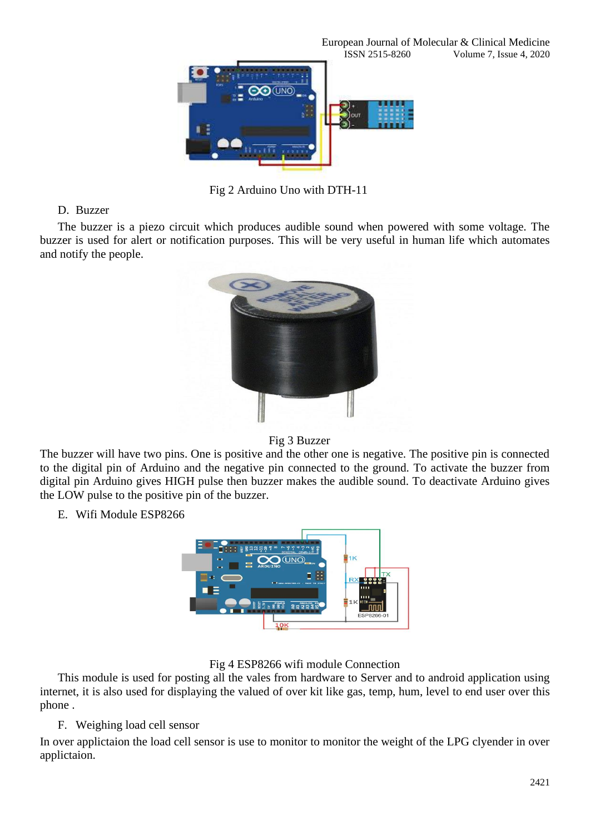

Fig 2 Arduino Uno with DTH-11

### D. Buzzer

The buzzer is a piezo circuit which produces audible sound when powered with some voltage. The buzzer is used for alert or notification purposes. This will be very useful in human life which automates and notify the people.



#### Fig 3 Buzzer

The buzzer will have two pins. One is positive and the other one is negative. The positive pin is connected to the digital pin of Arduino and the negative pin connected to the ground. To activate the buzzer from digital pin Arduino gives HIGH pulse then buzzer makes the audible sound. To deactivate Arduino gives the LOW pulse to the positive pin of the buzzer.

E. Wifi Module ESP8266



### Fig 4 ESP8266 wifi module Connection

This module is used for posting all the vales from hardware to Server and to android application using internet, it is also used for displaying the valued of over kit like gas, temp, hum, level to end user over this phone .

### F. Weighing load cell sensor

In over applictaion the load cell sensor is use to monitor to monitor the weight of the LPG clyender in over applictaion.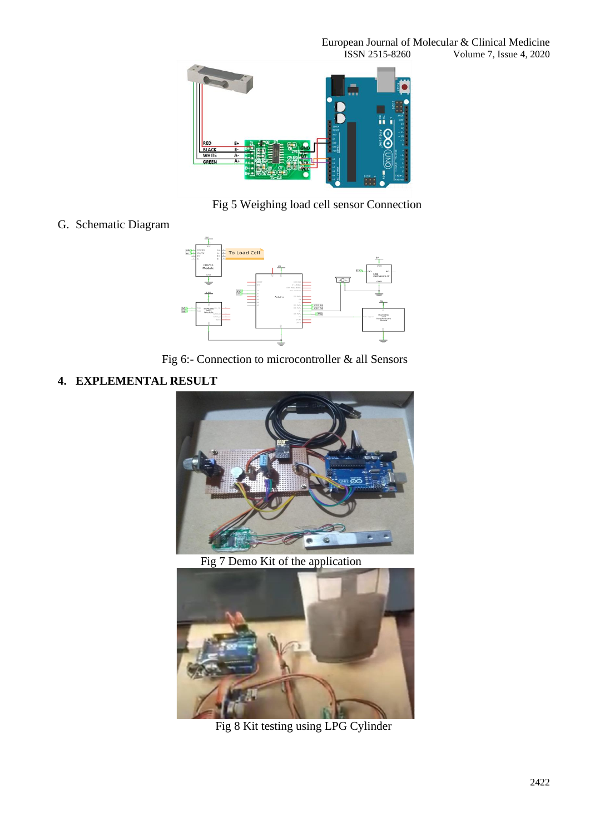

Fig 5 Weighing load cell sensor Connection

G. Schematic Diagram



Fig 6:- Connection to microcontroller & all Sensors

## **4. EXPLEMENTAL RESULT**



Fig 7 Demo Kit of the application



Fig 8 Kit testing using LPG Cylinder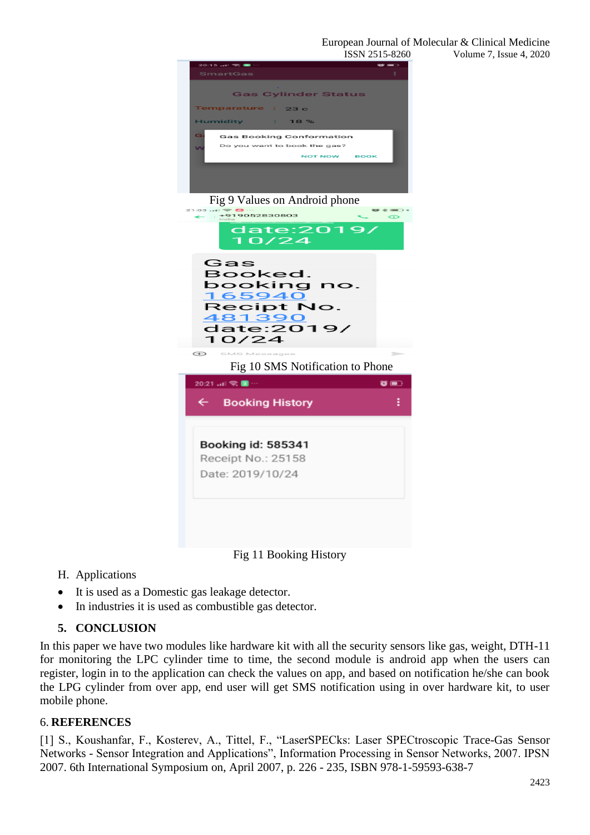

#### Fig 9 Values on Android phone



- H. Applications
- It is used as a Domestic gas leakage detector.
- In industries it is used as combustible gas detector.

#### **5. CONCLUSION**

In this paper we have two modules like hardware kit with all the security sensors like gas, weight, DTH-11 for monitoring the LPC cylinder time to time, the second module is android app when the users can register, login in to the application can check the values on app, and based on notification he/she can book the LPG cylinder from over app, end user will get SMS notification using in over hardware kit, to user mobile phone.

#### 6. **REFERENCES**

[1] S., Koushanfar, F., Kosterev, A., Tittel, F., "LaserSPECks: Laser SPECtroscopic Trace-Gas Sensor Networks - Sensor Integration and Applications", Information Processing in Sensor Networks, 2007. IPSN 2007. 6th International Symposium on, April 2007, p. 226 - 235, ISBN 978-1-59593-638-7